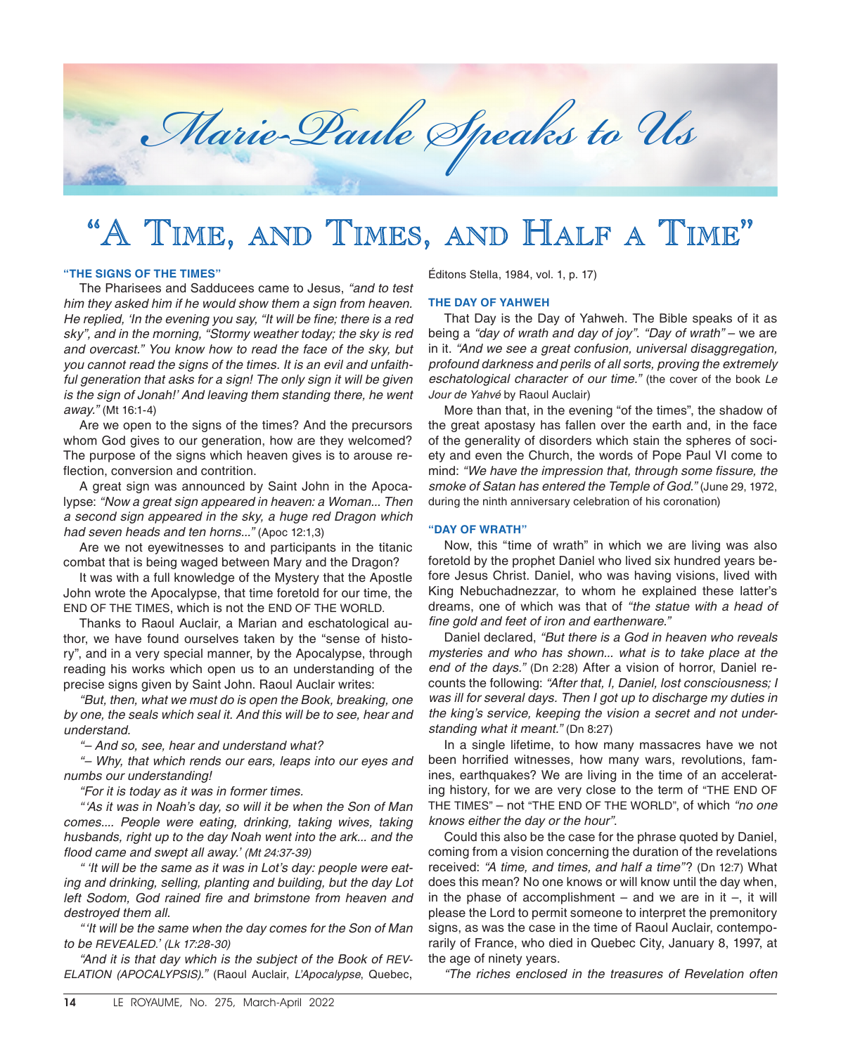

# "A TIME, AND TIMES, AND HALF A TIME"

### **"THE SIGNS OF THE TIMES"**

The Pharisees and Sadducees came to Jesus, *"and to test him they asked him if he would show them a sign from heaven. He replied, 'In the evening you say, "It will be fine; there is a red sky", and in the morning, "Stormy weather today; the sky is red and overcast." You know how to read the face of the sky, but you cannot read the signs of the times. It is an evil and unfaith*ful generation that asks for a sign! The only sign it will be given *is the sign of Jonah!' And leaving them standing there, he went away."* (Mt 16:1-4)

Are we open to the signs of the times? And the precursors whom God gives to our generation, how are they welcomed? The purpose of the signs which heaven gives is to arouse reflection, conversion and contrition.

A great sign was announced by Saint John in the Apocalypse: *"Now a great sign appeared in heaven: a Woman... Then a second sign appeared in the sky, a huge red Dragon which had seven heads and ten horns..."* (Apoc 12:1,3)

Are we not eyewitnesses to and participants in the titanic combat that is being waged between Mary and the Dragon?

It was with a full knowledge of the Mystery that the Apostle John wrote the Apocalypse, that time foretold for our time, the END OF THE TIMES, which is not the END OF THE WORLD.

Thanks to Raoul Auclair, a Marian and eschatological author, we have found ourselves taken by the "sense of history", and in a very special manner, by the Apocalypse, through reading his works which open us to an understanding of the precise signs given by Saint John. Raoul Auclair writes:

*"But, then, what we must do is open the Book, breaking, one by one, the seals which seal it. And this will be to see, hear and understand.*

*"– And so, see, hear and understand what?*

*"– Why, that which rends our ears, leaps into our eyes and numbs our understanding!*

*"For it is today as it was in former times.*

*"'As it was in Noah's day, so will it be when the Son of Man comes.... People were eating, drinking, taking wives, taking husbands, right up to the day Noah went into the ark... and the flood came and swept all away.' (Mt 24:37-39)*

*" 'It will be the same as it was in Lot's day: people were eating and drinking, selling, planting and building, but the day Lot left Sodom, God rained fire and brimstone from heaven and destroyed them all.*

*"'It will be the same when the day comes for the Son of Man to be REVEALED.' (Lk 17:28-30)*

*"And it is that day which is the subject of the Book of REV-ELATION (APOCALYPSIS)."* (Raoul Auclair, *L'Apocalypse*, Quebec,

Éditons Stella, 1984, vol. 1, p. 17)

## **THE DAY OF YAHWEH**

That Day is the Day of Yahweh. The Bible speaks of it as being a *"day of wrath and day of joy"*. *"Day of wrath"* – we are in it. *"And we see a great confusion, universal disaggregation, profound darkness and perils of all sorts, proving the extremely eschatological character of our time."* (the cover of the book *Le Jour de Yahvé* by Raoul Auclair)

More than that, in the evening "of the times", the shadow of the great apostasy has fallen over the earth and, in the face of the generality of disorders which stain the spheres of society and even the Church, the words of Pope Paul VI come to mind: *"We have the impression that, through some fissure, the smoke of Satan has entered the Temple of God."* (June 29, 1972, during the ninth anniversary celebration of his coronation)

### **"DAY OF WRATH"**

Now, this "time of wrath" in which we are living was also foretold by the prophet Daniel who lived six hundred years before Jesus Christ. Daniel, who was having visions, lived with King Nebuchadnezzar, to whom he explained these latter's dreams, one of which was that of *"the statue with a head of fine gold and feet of iron and earthenware."*

Daniel declared, *"But there is a God in heaven who reveals mysteries and who has shown... what is to take place at the end of the days."* (Dn 2:28) After a vision of horror, Daniel recounts the following: *"After that, I, Daniel, lost consciousness; I was ill for several days. Then I got up to discharge my duties in the king's service, keeping the vision a secret and not understanding what it meant."* (Dn 8:27)

In a single lifetime, to how many massacres have we not been horrified witnesses, how many wars, revolutions, famines, earthquakes? We are living in the time of an accelerating history, for we are very close to the term of "THE END OF THE TIMES" – not "THE END OF THE WORLD", of which *"no one knows either the day or the hour"*.

Could this also be the case for the phrase quoted by Daniel, coming from a vision concerning the duration of the revelations received: *"A time, and times, and half a time"*? (Dn 12:7) What does this mean? No one knows or will know until the day when, in the phase of accomplishment – and we are in it –, it will please the Lord to permit someone to interpret the premonitory signs, as was the case in the time of Raoul Auclair, contemporarily of France, who died in Quebec City, January 8, 1997, at the age of ninety years.

*"The riches enclosed in the treasures of Revelation often*